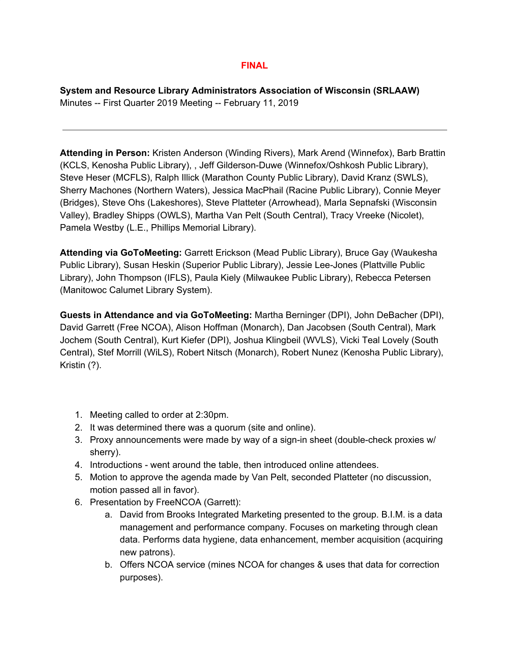## **FINAL**

**System and Resource Library Administrators Association of Wisconsin (SRLAAW)** Minutes -- First Quarter 2019 Meeting -- February 11, 2019

**Attending in Person:** Kristen Anderson (Winding Rivers), Mark Arend (Winnefox), Barb Brattin (KCLS, Kenosha Public Library), , Jeff Gilderson-Duwe (Winnefox/Oshkosh Public Library), Steve Heser (MCFLS), Ralph Illick (Marathon County Public Library), David Kranz (SWLS), Sherry Machones (Northern Waters), Jessica MacPhail (Racine Public Library), Connie Meyer (Bridges), Steve Ohs (Lakeshores), Steve Platteter (Arrowhead), Marla Sepnafski (Wisconsin Valley), Bradley Shipps (OWLS), Martha Van Pelt (South Central), Tracy Vreeke (Nicolet), Pamela Westby (L.E., Phillips Memorial Library).

**Attending via GoToMeeting:** Garrett Erickson (Mead Public Library), Bruce Gay (Waukesha Public Library), Susan Heskin (Superior Public Library), Jessie Lee-Jones (Plattville Public Library), John Thompson (IFLS), Paula Kiely (Milwaukee Public Library), Rebecca Petersen (Manitowoc Calumet Library System).

**Guests in Attendance and via GoToMeeting:** Martha Berninger (DPI), John DeBacher (DPI), David Garrett (Free NCOA), Alison Hoffman (Monarch), Dan Jacobsen (South Central), Mark Jochem (South Central), Kurt Kiefer (DPI), Joshua Klingbeil (WVLS), Vicki Teal Lovely (South Central), Stef Morrill (WiLS), Robert Nitsch (Monarch), Robert Nunez (Kenosha Public Library), Kristin (?).

- 1. Meeting called to order at 2:30pm.
- 2. It was determined there was a quorum (site and online).
- 3. Proxy announcements were made by way of a sign-in sheet (double-check proxies w/ sherry).
- 4. Introductions went around the table, then introduced online attendees.
- 5. Motion to approve the agenda made by Van Pelt, seconded Platteter (no discussion, motion passed all in favor).
- 6. Presentation by FreeNCOA (Garrett):
	- a. David from Brooks Integrated Marketing presented to the group. B.I.M. is a data management and performance company. Focuses on marketing through clean data. Performs data hygiene, data enhancement, member acquisition (acquiring new patrons).
	- b. Offers NCOA service (mines NCOA for changes & uses that data for correction purposes).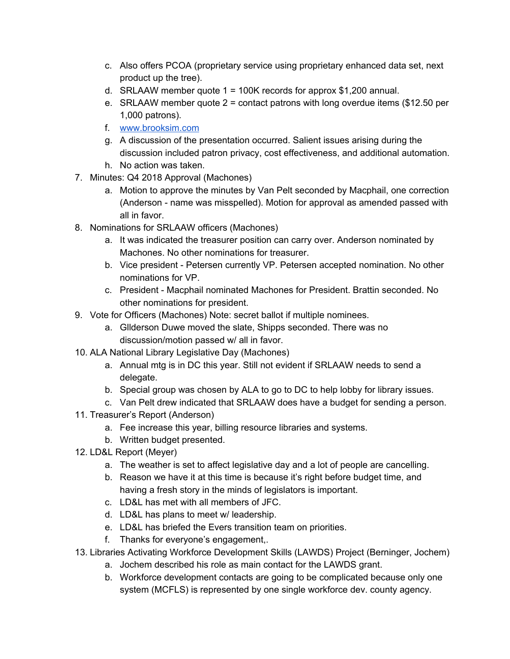- c. Also offers PCOA (proprietary service using proprietary enhanced data set, next product up the tree).
- d. SRLAAW member quote 1 = 100K records for approx \$1,200 annual.
- e. SRLAAW member quote  $2 =$  contact patrons with long overdue items (\$12.50 per 1,000 patrons).
- f. [www.brooksim.com](http://www.brooksim.com/)
- g. A discussion of the presentation occurred. Salient issues arising during the discussion included patron privacy, cost effectiveness, and additional automation.
- h. No action was taken.
- 7. Minutes: Q4 2018 Approval (Machones)
	- a. Motion to approve the minutes by Van Pelt seconded by Macphail, one correction (Anderson - name was misspelled). Motion for approval as amended passed with all in favor.
- 8. Nominations for SRLAAW officers (Machones)
	- a. It was indicated the treasurer position can carry over. Anderson nominated by Machones. No other nominations for treasurer.
	- b. Vice president Petersen currently VP. Petersen accepted nomination. No other nominations for VP.
	- c. President Macphail nominated Machones for President. Brattin seconded. No other nominations for president.
- 9. Vote for Officers (Machones) Note: secret ballot if multiple nominees.
	- a. Gllderson Duwe moved the slate, Shipps seconded. There was no discussion/motion passed w/ all in favor.
- 10. ALA National Library Legislative Day (Machones)
	- a. Annual mtg is in DC this year. Still not evident if SRLAAW needs to send a delegate.
	- b. Special group was chosen by ALA to go to DC to help lobby for library issues.
	- c. Van Pelt drew indicated that SRLAAW does have a budget for sending a person.
- 11. Treasurer's Report (Anderson)
	- a. Fee increase this year, billing resource libraries and systems.
	- b. Written budget presented.
- 12. LD&L Report (Meyer)
	- a. The weather is set to affect legislative day and a lot of people are cancelling.
	- b. Reason we have it at this time is because it's right before budget time, and having a fresh story in the minds of legislators is important.
	- c. LD&L has met with all members of JFC.
	- d. LD&L has plans to meet w/ leadership.
	- e. LD&L has briefed the Evers transition team on priorities.
	- f. Thanks for everyone's engagement,.
- 13. Libraries Activating Workforce Development Skills (LAWDS) Project (Berninger, Jochem)
	- a. Jochem described his role as main contact for the LAWDS grant.
	- b. Workforce development contacts are going to be complicated because only one system (MCFLS) is represented by one single workforce dev. county agency.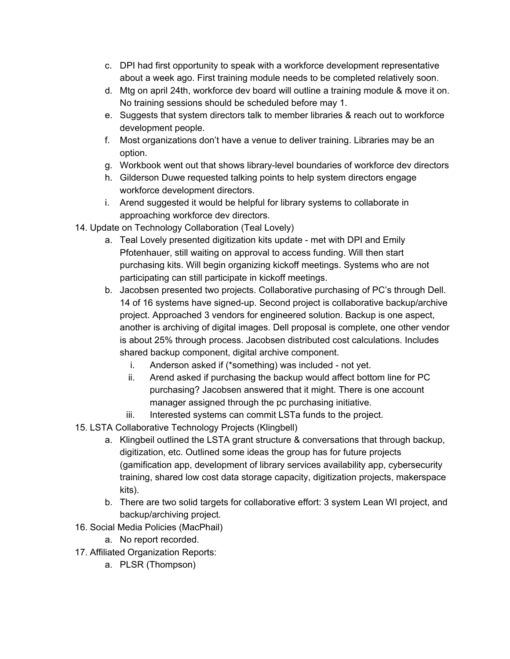- c. DPI had first opportunity to speak with a workforce development representative about a week ago. First training module needs to be completed relatively soon.
- d. Mtg on april 24th, workforce dev board will outline a training module & move it on. No training sessions should be scheduled before may 1.
- e. Suggests that system directors talk to member libraries & reach out to workforce development people.
- f. Most organizations don't have a venue to deliver training. Libraries may be an option.
- g. Workbook went out that shows library-level boundaries of workforce dev directors
- h. Gilderson Duwe requested talking points to help system directors engage workforce development directors.
- i. Arend suggested it would be helpful for library systems to collaborate in approaching workforce dev directors.
- 14. Update on Technology Collaboration (Teal Lovely)
	- a. Teal Lovely presented digitization kits update met with DPI and Emily Pfotenhauer, still waiting on approval to access funding. Will then start purchasing kits. Will begin organizing kickoff meetings. Systems who are not participating can still participate in kickoff meetings.
	- b. Jacobsen presented two projects. Collaborative purchasing of PC's through Dell. 14 of 16 systems have signed-up. Second project is collaborative backup/archive project. Approached 3 vendors for engineered solution. Backup is one aspect, another is archiving of digital images. Dell proposal is complete, one other vendor is about 25% through process. Jacobsen distributed cost calculations. Includes shared backup component, digital archive component.
		- i. Anderson asked if (\*something) was included not yet.
		- ii. Arend asked if purchasing the backup would affect bottom line for PC purchasing? Jacobsen answered that it might. There is one account manager assigned through the pc purchasing initiative.
		- iii. Interested systems can commit LSTa funds to the project.
- 15. LSTA Collaborative Technology Projects (Klingbell)
	- a. Klingbeil outlined the LSTA grant structure & conversations that through backup, digitization, etc. Outlined some ideas the group has for future projects (gamification app, development of library services availability app, cybersecurity training, shared low cost data storage capacity, digitization projects, makerspace kits).
	- b. There are two solid targets for collaborative effort: 3 system Lean WI project, and backup/archiving project.
- 16. Social Media Policies (MacPhail)
	- a. No report recorded.
- 17. Affiliated Organization Reports:
	- a. PLSR (Thompson)